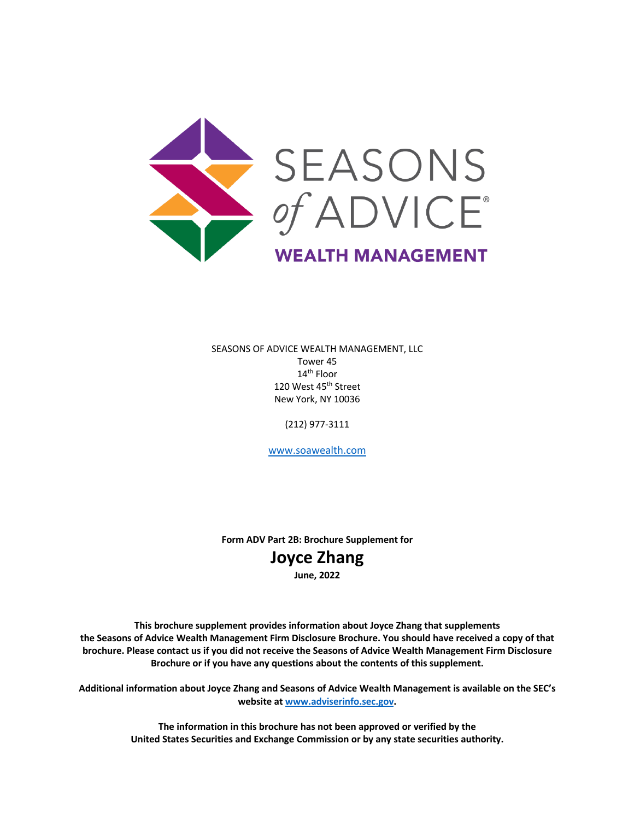

SEASONS OF ADVICE WEALTH MANAGEMENT, LLC Tower 45 14th Floor 120 West 45<sup>th</sup> Street New York, NY 10036

(212) 977-3111

www.soawealth.com

**Form ADV Part 2B: Brochure Supplement for**

## **Joyce Zhang**

**June, 2022**

**This brochure supplement provides information about Joyce Zhang that supplements the Seasons of Advice Wealth Management Firm Disclosure Brochure. You should have received a copy of that brochure. Please contact us if you did not receive the Seasons of Advice Wealth Management Firm Disclosure Brochure or if you have any questions about the contents of this supplement.**

**Additional information about Joyce Zhang and Seasons of Advice Wealth Management is available on the SEC's website at www.adviserinfo.sec.gov.**

> **The information in this brochure has not been approved or verified by the United States Securities and Exchange Commission or by any state securities authority.**